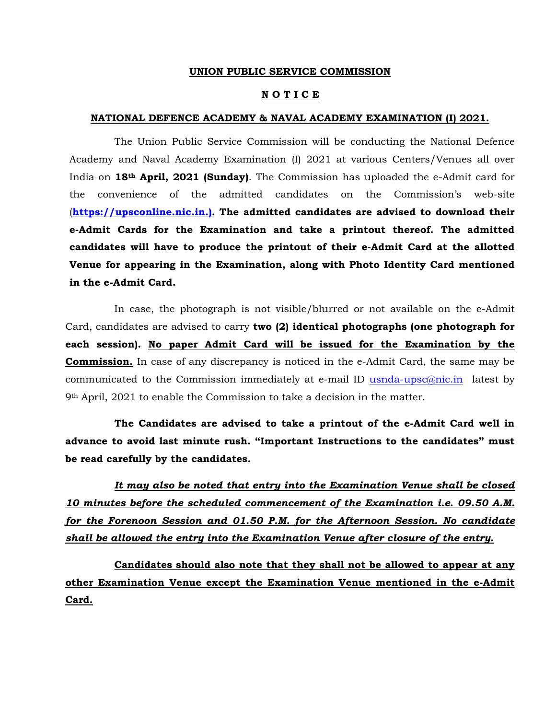## **UNION PUBLIC SERVICE COMMISSION**

## **N O T I C E**

## **NATIONAL DEFENCE ACADEMY & NAVAL ACADEMY EXAMINATION (I) 2021.**

 The Union Public Service Commission will be conducting the National Defence Academy and Naval Academy Examination (I) 2021 at various Centers/Venues all over India on **18th April, 2021 (Sunday)**. The Commission has uploaded the e-Admit card for the convenience of the admitted candidates on the Commission's web-site (**https://upsconline.nic.in.). The admitted candidates are advised to download their e-Admit Cards for the Examination and take a printout thereof. The admitted candidates will have to produce the printout of their e-Admit Card at the allotted Venue for appearing in the Examination, along with Photo Identity Card mentioned in the e-Admit Card.** 

 In case, the photograph is not visible/blurred or not available on the e-Admit Card, candidates are advised to carry **two (2) identical photographs (one photograph for each session). No paper Admit Card will be issued for the Examination by the Commission.** In case of any discrepancy is noticed in the e-Admit Card, the same may be communicated to the Commission immediately at e-mail ID usnda-upsc $@nic.in$  latest by 9th April, 2021 to enable the Commission to take a decision in the matter.

 **The Candidates are advised to take a printout of the e-Admit Card well in advance to avoid last minute rush. "Important Instructions to the candidates" must be read carefully by the candidates.** 

*It may also be noted that entry into the Examination Venue shall be closed 10 minutes before the scheduled commencement of the Examination i.e. 09.50 A.M. for the Forenoon Session and 01.50 P.M. for the Afternoon Session. No candidate shall be allowed the entry into the Examination Venue after closure of the entry.* 

 **Candidates should also note that they shall not be allowed to appear at any other Examination Venue except the Examination Venue mentioned in the e-Admit Card.**